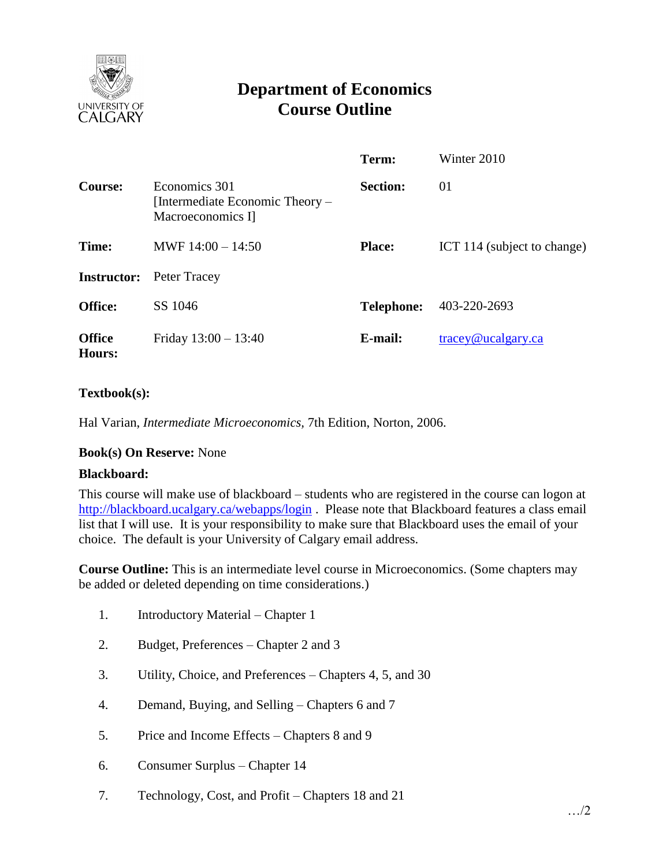

# **Department of Economics Course Outline**

|                         |                                                                       | Term:             | Winter 2010                              |
|-------------------------|-----------------------------------------------------------------------|-------------------|------------------------------------------|
| <b>Course:</b>          | Economics 301<br>[Intermediate Economic Theory –<br>Macroeconomics I] | <b>Section:</b>   | 01                                       |
| Time:                   | MWF $14:00 - 14:50$                                                   | <b>Place:</b>     | ICT 114 (subject to change)              |
| <b>Instructor:</b>      | Peter Tracey                                                          |                   |                                          |
| <b>Office:</b>          | SS 1046                                                               | <b>Telephone:</b> | 403-220-2693                             |
| <b>Office</b><br>Hours: | Friday $13:00 - 13:40$                                                | E-mail:           | $trace\$ <sub><i>Q</i></sub> ucalgary.ca |

## **Textbook(s):**

Hal Varian, *Intermediate Microeconomics,* 7th Edition, Norton, 2006.

## **Book(s) On Reserve:** None

#### **Blackboard:**

This course will make use of blackboard – students who are registered in the course can logon at <http://blackboard.ucalgary.ca/webapps/login>. Please note that Blackboard features a class email list that I will use. It is your responsibility to make sure that Blackboard uses the email of your choice. The default is your University of Calgary email address.

**Course Outline:** This is an intermediate level course in Microeconomics. (Some chapters may be added or deleted depending on time considerations.)

- 1. Introductory Material Chapter 1
- 2. Budget, Preferences Chapter 2 and 3
- 3. Utility, Choice, and Preferences Chapters 4, 5, and 30
- 4. Demand, Buying, and Selling Chapters 6 and 7
- 5. Price and Income Effects Chapters 8 and 9
- 6. Consumer Surplus Chapter 14
- 7. Technology, Cost, and Profit Chapters 18 and 21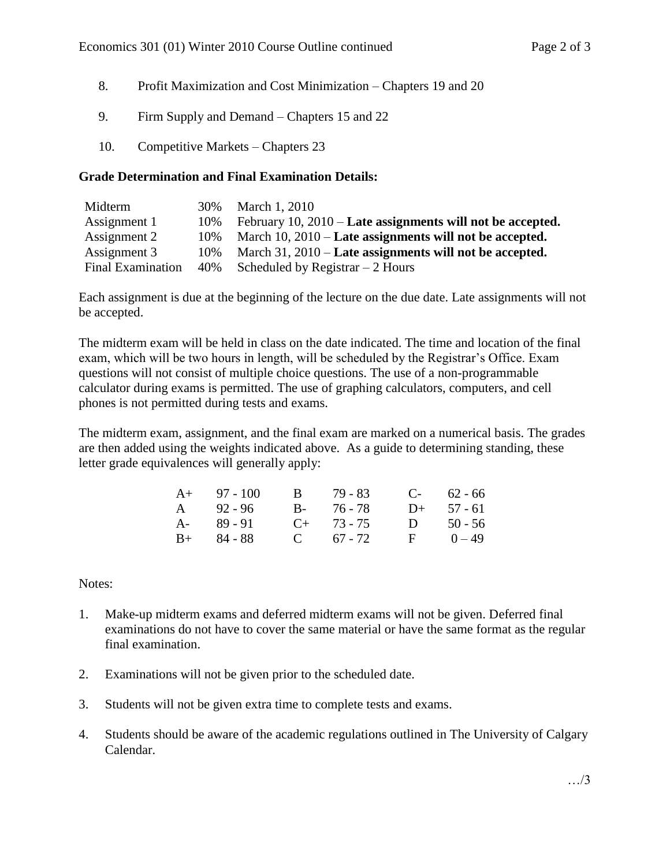- 8. Profit Maximization and Cost Minimization Chapters 19 and 20
- 9. Firm Supply and Demand Chapters 15 and 22
- 10. Competitive Markets Chapters 23

#### **Grade Determination and Final Examination Details:**

| Midterm                  | 30%    | March 1, 2010                                                    |
|--------------------------|--------|------------------------------------------------------------------|
| Assignment 1             | $10\%$ | February $10, 2010$ – Late assignments will not be accepted.     |
| Assignment 2             | 10%    | March $10, 2010$ – Late assignments will not be accepted.        |
| Assignment 3             | 10%    | March 31, $2010 -$ <b>Late assignments will not be accepted.</b> |
| <b>Final Examination</b> |        | 40% Scheduled by Registrar $-2$ Hours                            |

Each assignment is due at the beginning of the lecture on the due date. Late assignments will not be accepted.

The midterm exam will be held in class on the date indicated. The time and location of the final exam, which will be two hours in length, will be scheduled by the Registrar's Office. Exam questions will not consist of multiple choice questions. The use of a non-programmable calculator during exams is permitted. The use of graphing calculators, computers, and cell phones is not permitted during tests and exams.

The midterm exam, assignment, and the final exam are marked on a numerical basis. The grades are then added using the weights indicated above. As a guide to determining standing, these letter grade equivalences will generally apply:

| $A+ 97 - 100$ | B 79 - 83       | $C-$ 62 - 66 |
|---------------|-----------------|--------------|
| $A = 92 - 96$ | $B - 76 - 78$   | $D+$ 57 - 61 |
| $A - 89 - 91$ | $C_{+}$ 73 - 75 | D $50 - 56$  |
| $B+ 84 - 88$  | C $67 - 72$     | $F = 0-49$   |

Notes:

- 1. Make-up midterm exams and deferred midterm exams will not be given. Deferred final examinations do not have to cover the same material or have the same format as the regular final examination.
- 2. Examinations will not be given prior to the scheduled date.
- 3. Students will not be given extra time to complete tests and exams.
- 4. Students should be aware of the academic regulations outlined in The University of Calgary Calendar.